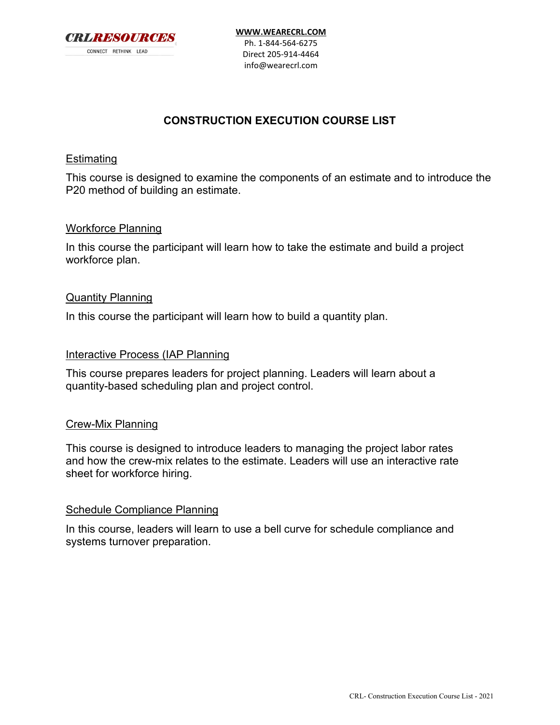

**[WWW.WEARECRL.COM](http://www.wearecrl.com/)** Ph[. 1-844-564-6275](tel:123-456-7890) Direct 205-914-4464 info@wearecrl.com

# **CONSTRUCTION EXECUTION COURSE LIST**

## **Estimating**

This course is designed to examine the components of an estimate and to introduce the P20 method of building an estimate.

## Workforce Planning

In this course the participant will learn how to take the estimate and build a project workforce plan.

## Quantity Planning

In this course the participant will learn how to build a quantity plan.

## Interactive Process (IAP Planning

This course prepares leaders for project planning. Leaders will learn about a quantity-based scheduling plan and project control.

#### Crew-Mix Planning

This course is designed to introduce leaders to managing the project labor rates and how the crew-mix relates to the estimate. Leaders will use an interactive rate sheet for workforce hiring.

#### Schedule Compliance Planning

In this course, leaders will learn to use a bell curve for schedule compliance and systems turnover preparation.